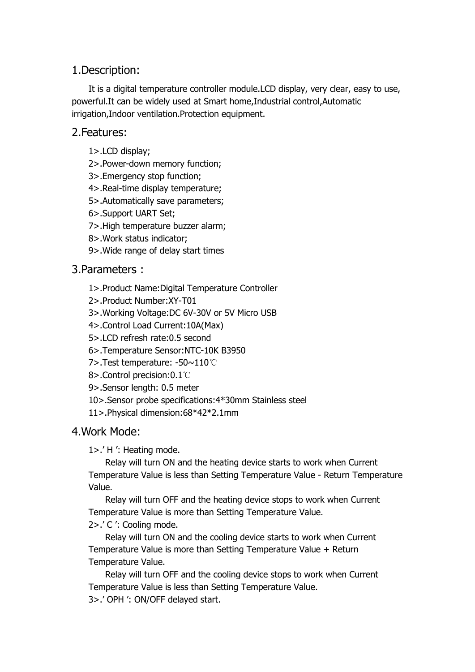# 1.Description:

It is a digital temperature controller module.LCD display, very clear, easy to use, powerful.It can be widely used at Smart home,Industrial control,Automatic irrigation,Indoor ventilation.Protection equipment.

#### 2.Features:

1>.LCD display;

2>.Power-down memory function;

- 3>.Emergency stop function;
- 4>.Real-time display temperature;
- 5>.Automatically save parameters;
- 6>.Support UART Set;
- 7>.High temperature buzzer alarm;
- 8>.Work status indicator;
- 9>. Wide range of delay start times

# 3.Parameters :

- 1>.Product Name:Digital Temperature Controller
- 2>.Product Number:XY-T01
- 3>.Working Voltage:DC 6V-30V or 5V Micro USB
- 4>.Control Load Current:10A(Max)
- 5>.LCD refresh rate:0.5 second
- 6>.Temperature Sensor:NTC-10K B3950
- 7>.Test temperature: -50~110℃
- 8>.Control precision:0.1℃
- 9>.Sensor length: 0.5 meter
- 10>.Sensor probe specifications:4\*30mm Stainless steel
- 11>.Physical dimension:68\*42\*2.1mm

# 4.Work Mode:

1>.' H ': Heating mode.

Relay will turn ON and the heating device starts to work when Current Temperature Value is less than Setting Temperature Value - Return Temperature Value.

Relay will turn OFF and the heating device stops to work when Current Temperature Value is more than Setting Temperature Value.

#### 2>.' C ': Cooling mode.

Relay will turn ON and the cooling device starts to work when Current Temperature Value is more than Setting Temperature Value + Return Temperature Value.

Relay will turn OFF and the cooling device stops to work when Current Temperature Value is less than Setting Temperature Value. 3>.' OPH ': ON/OFF delayed start.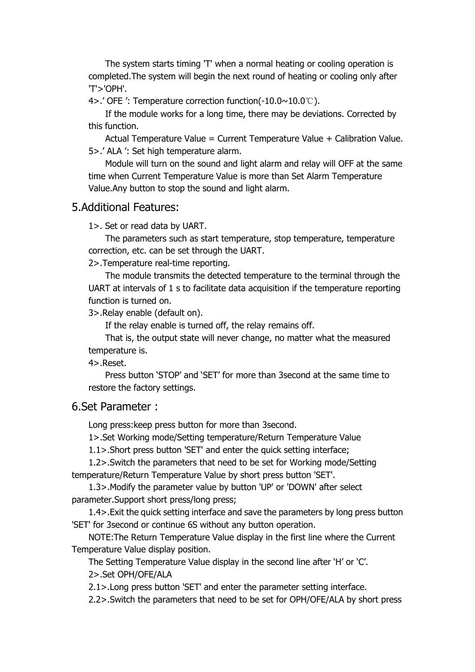The system starts timing 'T' when a normal heating or cooling operation is completed.The system will begin the next round of heating or cooling only after 'T'>'OPH'.

4>.' OFE ': Temperature correction function(-10.0~10.0℃).

If the module works for a long time, there may be deviations. Corrected by this function.

Actual Temperature Value = Current Temperature Value + Calibration Value. 5>.' ALA ': Set high temperature alarm.

Module will turn on the sound and light alarm and relay will OFF at the same time when Current Temperature Value is more than Set Alarm Temperature Value. Any button to stop the sound and light alarm.

#### 5.Additional Features:

1>. Set or read data by UART.

The parameters such as start temperature, stop temperature, temperature correction, etc. can be set through the UART.

2>.Temperature real-time reporting.

The module transmits the detected temperature to the terminal through the UART at intervals of 1 s to facilitate data acquisition if the temperature reporting function is turned on.

3>.Relay enable (default on).

If the relay enable is turned off, the relay remains off.

That is, the output state will never change, no matter what the measured temperature is.

4>.Reset.

Press button 'STOP' and 'SET' for more than 3second at the same time to restore the factory settings.

#### 6.Set Parameter :

Long press:keep press button for more than 3second.

1>.Set Working mode/Setting temperature/Return Temperature Value

1.1>.Short press button 'SET' and enter the quick setting interface;

1.2>.Switch the parameters that need to be set for Working mode/Setting temperature/Return Temperature Value by short press button 'SET'.

1.3>.Modify the parameter value by button 'UP' or 'DOWN' after select parameter.Support short press/long press;

1.4>.Exit the quick setting interface and save the parameters by long press button 'SET' for 3second or continue 6S without any button operation.

NOTE:The Return Temperature Value display in the first line where the Current Temperature Value display position.

The Setting Temperature Value display in the second line after 'H' or 'C'. 2>.Set OPH/OFE/ALA

2.1>.Long press button 'SET' and enter the parameter setting interface.

2.2>.Switch the parameters that need to be set for OPH/OFE/ALA by short press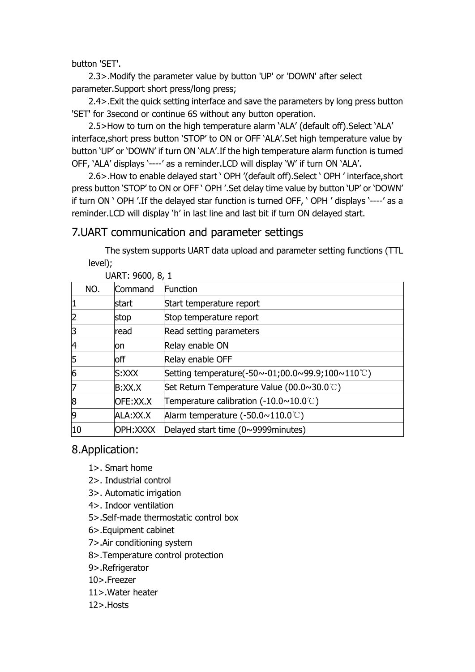button 'SET'.

2.3>.Modify the parameter value by button 'UP' or 'DOWN' after select parameter.Support short press/long press;

2.4>.Exit the quick setting interface and save the parameters by long press button 'SET' for 3second or continue 6S without any button operation.

2.5>How to turn on the high temperature alarm 'ALA' (default off).Select 'ALA' interface,short press button 'STOP' to ON or OFF 'ALA'.Set high temperature value by button 'UP' or 'DOWN' if turn ON 'ALA'.If the high temperature alarm function is turned OFF, 'ALA' displays '----' as a reminder.LCD will display 'W' if turn ON 'ALA'.

2.6>.How to enable delayed start ' OPH '(default off).Select ' OPH ' interface,short press button 'STOP' to ON or OFF ' OPH '.Set delay time value by button 'UP' or 'DOWN'<br>if turn ON ' OPH '.If the delayed star function is turned OFF, ' OPH ' displays '----' as a reminder.LCD will display 'h' in last line and last bit if turn ON delayed start.

#### 7.UART communication and parameter settings

The system supports UART data upload and parameter setting functions (TTL level);

|     | UARI. 9000, 0, 1 |                                                               |  |
|-----|------------------|---------------------------------------------------------------|--|
| NO. | Command          | Function                                                      |  |
|     | start            | Start temperature report                                      |  |
|     | stop             | Stop temperature report                                       |  |
|     | read             | Read setting parameters                                       |  |
| 14  | lon              | Relay enable ON                                               |  |
| 15  | loff             | Relay enable OFF                                              |  |
| 6   | S:XXX            | Setting temperature(-50~-01;00.0~99.9;100~110°C)              |  |
|     | B:XX.X           | Set Return Temperature Value (00.0~30.0°C)                    |  |
| 18  | OFE:XX.X         | Temperature calibration $(-10.0 \times 10.0^{\circ}\text{C})$ |  |
| 9   | ALA:XX.X         | Alarm temperature $(-50.0 \sim 110.0^{\circ}\text{C})$        |  |
| 10  | OPH:XXXX         | Delayed start time (0~9999minutes)                            |  |

 $UADT: QG<sub>00</sub> Q<sub>1</sub>$ 

# 8.Application:

- 1>. Smart home
- 2>. Industrial control
- 3>. Automatic irrigation
- 4>. Indoor ventilation
- 5>.Self-made thermostatic control box
- 6>.Equipment cabinet
- 7>.Air conditioning system
- 8>.Temperature control protection
- 9>.Refrigerator
- 10>.Freezer
- 11>.Water heater
- 12>.Hosts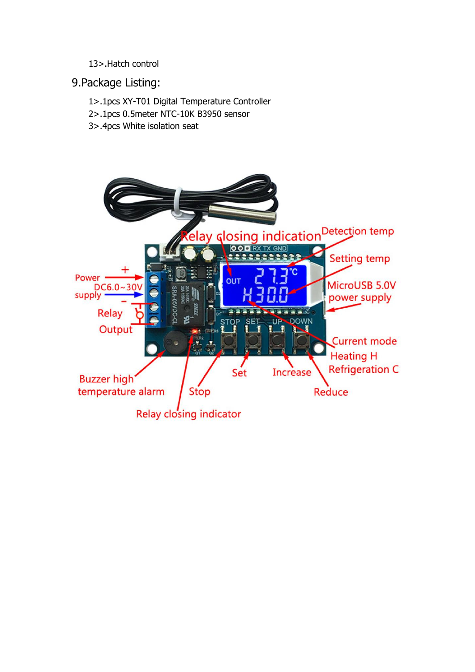#### 13>.Hatch control

#### 9.Package Listing:

- 1>.1pcs XY-T01 Digital Temperature Controller
- 2>.1pcs 0.5meter NTC-10K B3950 sensor
- 3>.4pcs White isolation seat

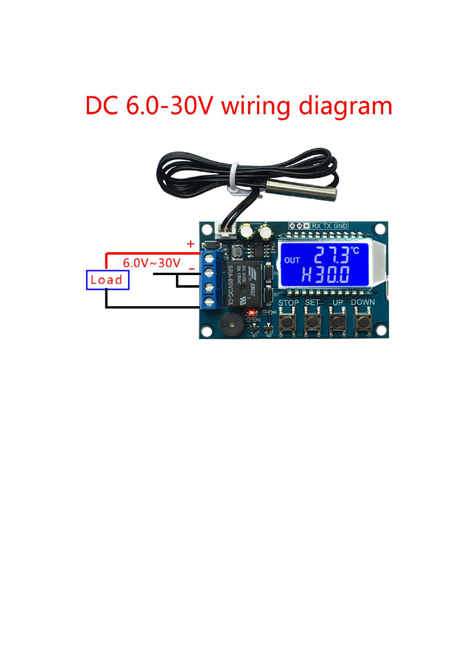# DC 6.0-30V wiring diagram

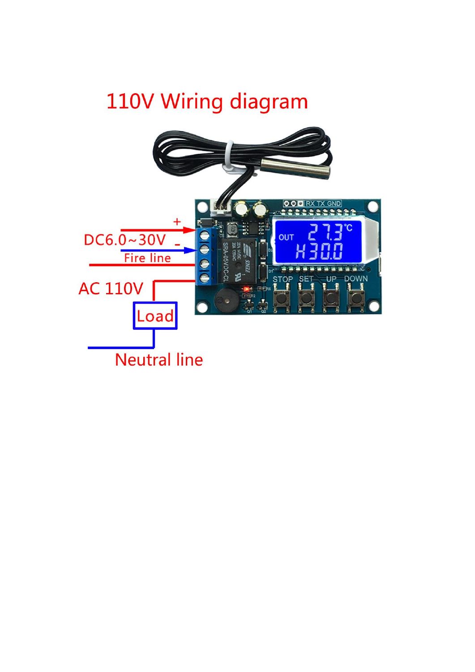# 110V Wiring diagram